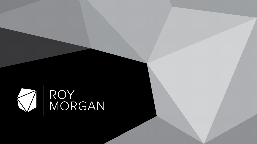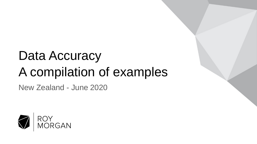## Data Accuracy A compilation of examples

New Zealand - June 2020

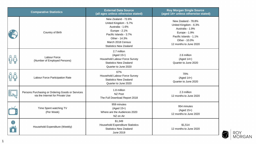| <b>Comparative Statistics</b> |                                                                                      | <b>External Data Source</b><br>(all ages unless otherwise stated)                                                                                                                  | <b>Roy Morgan Single Source</b><br>(aged 14+ unless otherwise stated)                                                                                  |
|-------------------------------|--------------------------------------------------------------------------------------|------------------------------------------------------------------------------------------------------------------------------------------------------------------------------------|--------------------------------------------------------------------------------------------------------------------------------------------------------|
|                               | Country of Birth                                                                     | New Zealand - 72.6%<br>United Kingdom - 5.7%<br>Australia - 1.6%<br>Europe - 2.1%<br>Pacific Islands - 3.7%<br>Other - 14.3%<br>March 2018 Census<br><b>Statistics New Zealand</b> | New Zealand - 78.8%<br>United Kingdom - 6.3%<br>Australia - 1.9%<br>Europe - 1.9%<br>Pacific Islands - 1.1%<br>Other - 10.0%<br>12 months to June 2020 |
|                               | Labour Force<br>(Number of Employed Persons)                                         | 2.7 million<br>$(Aged 15+)$<br>Household Labour Force Survey<br><b>Statistics New Zealand</b><br>Quarter to June 2020                                                              | 2.6 million<br>$(Aged 14+)$<br>Quarter to June 2020                                                                                                    |
| 0 <sup>0</sup>                | Labour Force Participation Rate                                                      | 67%<br>Household Labour Force Survey<br><b>Statistics New Zealand</b><br>Quarter to June 2020                                                                                      | 70%<br>$(Aged 14+)$<br>Quarter to June 2020                                                                                                            |
| $\frac{1}{2}$                 | Persons Purchasing or Ordering Goods or Services<br>via the Internet for Private Use | 1.8 million<br>NZ Post<br>The Full Download Report 2018                                                                                                                            | 2.3 million<br>12 months to June 2020                                                                                                                  |
|                               | Time Spent watching TV<br>(Per Week)                                                 | 959 minutes<br>$(Aged 15+)$<br>Where are the Audiences 2020<br>NZ on Air                                                                                                           | 954 minutes<br>$(Aged 15+)$<br>12 months to June 2020                                                                                                  |
| S                             | Household Expenditure (Weekly)                                                       | \$1,349<br><b>Household Expenditure Statistics</b><br><b>Statistics New Zealand</b><br>June 2019                                                                                   | \$1,514<br>12 months to June 2020                                                                                                                      |

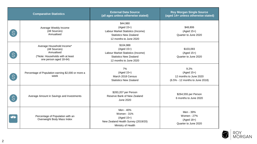| <b>Comparative Statistics</b> |                                                                                                                        | <b>External Data Source</b><br>(all ages unless otherwise stated)                                                         | <b>Roy Morgan Single Source</b><br>(aged 14+ unless otherwise stated)             |
|-------------------------------|------------------------------------------------------------------------------------------------------------------------|---------------------------------------------------------------------------------------------------------------------------|-----------------------------------------------------------------------------------|
| IS.                           | Average Weekly Income<br>(All Sources)<br>Annualised                                                                   | \$44,980<br>$(Aged 15+)$<br>Labour Market Statistics (Income)<br><b>Statistics New Zealand</b><br>12 months to June 2020  | \$48,806<br>$(Aged 15+)$<br>Quarter to June 2020                                  |
| IS.                           | Average Household Income*<br>(All Sources)<br>Annualised<br>(*Note: Households with at least<br>one person aged 18-64) | \$104,988<br>$(Aged 15+)$<br>Labour Market Statistics (Income)<br><b>Statistics New Zealand</b><br>12 months to June 2020 | \$103,093<br>$(Aged 15+)$<br>Quarter to June 2020                                 |
| IS                            | Percentage of Population earning \$2,000 or more a<br>week                                                             | 7%<br>$(Aged 15+)$<br>March 2018 Census<br><b>Statistics New Zealand</b>                                                  | 9.2%<br>$(Aged 15+)$<br>12 months to June 2020<br>(6.5% - 12 months to June 2018) |
| S.                            | Average Amount in Savings and Investments                                                                              | \$283,207 per Person<br>Reserve Bank of New Zealand<br>June 2020                                                          | \$264,555 per Person<br>6 months to June 2020                                     |
|                               | Percentage of Population with an<br>Overweight Body Mass Index                                                         | Men - 40%<br><b>Women - 31%</b><br>$(Aged 15+)$<br>New Zealand Health Survey (2019/20)<br>Ministry of Health              | Men - 39%<br>Women - 27%<br>$(Aged 18+)$<br>Quarter to June 2020                  |

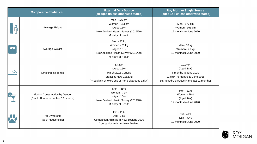| <b>Comparative Statistics</b> |                                                                        | <b>External Data Source</b><br>(all ages unless otherwise stated)                                                                | <b>Roy Morgan Single Source</b><br>(aged 14+ unless otherwise stated)                                                             |
|-------------------------------|------------------------------------------------------------------------|----------------------------------------------------------------------------------------------------------------------------------|-----------------------------------------------------------------------------------------------------------------------------------|
| <b>E</b><br>EU                | Average Height                                                         | Men - 176 cm<br>Women - 163 cm<br>(Aged 15+)<br>New Zealand Health Survey (2019/20)<br>Ministry of Health                        | Men - 177 cm<br>Women - 165 cm<br>12 months to June 2020                                                                          |
|                               | Average Weight                                                         | Men - 87 kg<br>Women - 75 kg<br>$(Aged 15+)$<br>New Zealand Health Survey (2019/20)<br>Ministry of Health                        | Men - 88 kg<br>Women - 76 kg<br>12 months to June 2020                                                                            |
|                               | Smoking Incidence                                                      | 13.2%*<br>$(Aged 15+)$<br>March 2018 Census<br><b>Statistics New Zealand</b><br>(*Regularly smokes one or more cigarettes a day) | 10.9%*<br>$(Aged 18+)$<br>6 months to June 2020<br>(12.8%* - 6 months to June 2018)<br>(*Smoked Cigarettes in the last 12 months) |
|                               | Alcohol Consumption by Gender<br>(Drunk Alcohol in the last 12 months) | Men - 85%<br><b>Women - 79%</b><br>$(Aged 15+)$<br>New Zealand Health Survey (2019/20)<br>Ministry of Health                     | Men - 81%<br><b>Women - 79%</b><br>$(Aged 18+)$<br>12 months to June 2020                                                         |
|                               | Pet Ownership<br>(% of Households)                                     | Cat - 41%<br>Dog - 34%<br>Companion Animals in New Zealand 2020<br><b>Companion Animals New Zealand</b>                          | Cat - 41%<br>Dog - 27%<br>12 months to June 2020                                                                                  |